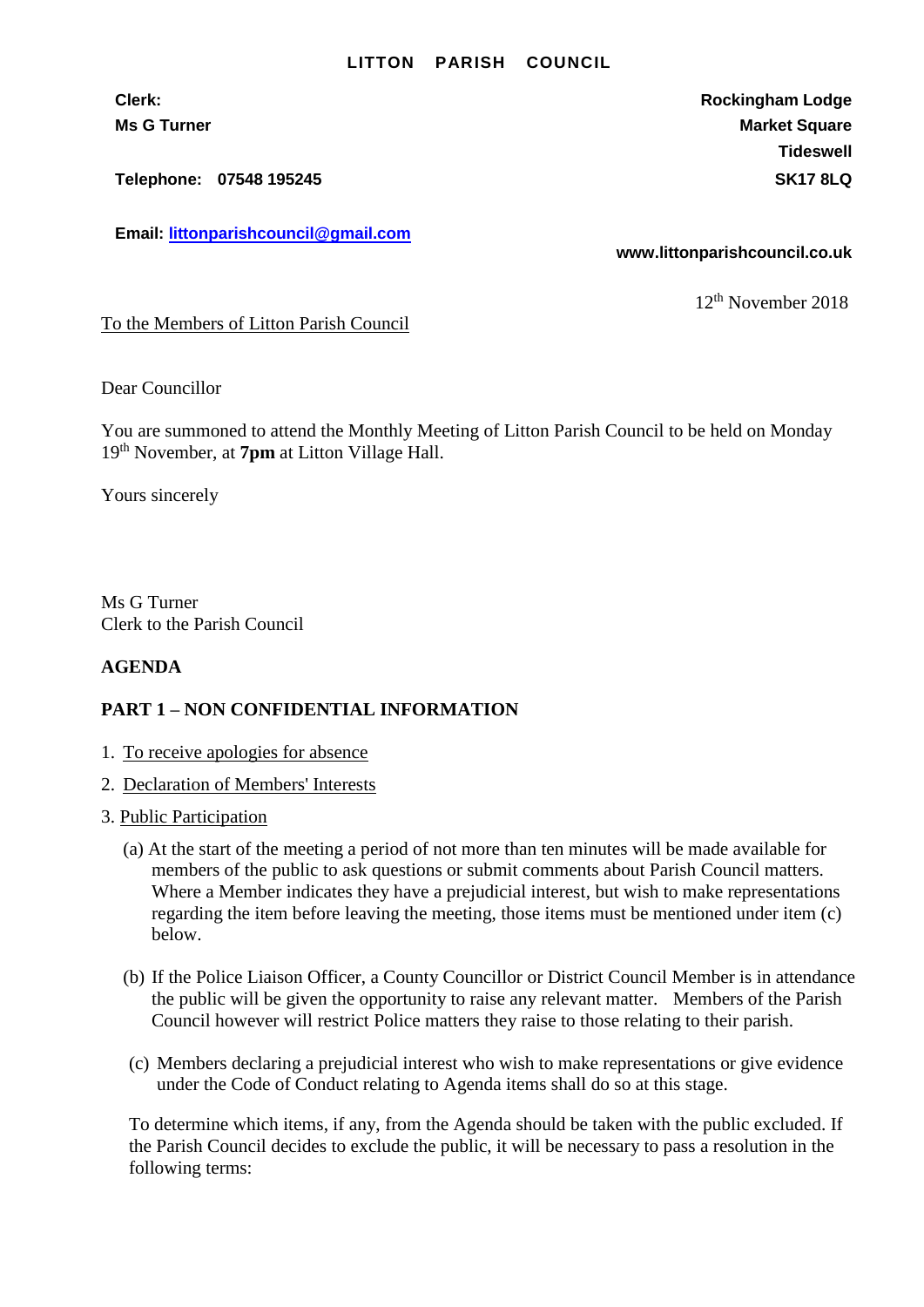## **LITTON PARISH COUNCIL**

**Telephone: 07548 195245 SK17 8LQ**

**Email: [littonparishcouncil@gmail.com](mailto:littonparishcouncil@gmail.com)**

**Clerk: Rockingham Lodge Ms G Turner Market Square** Market Square Market Square **Tideswell**

**www.littonparishcouncil.co.uk**

12th November 2018

To the Members of Litton Parish Council

Dear Councillor

You are summoned to attend the Monthly Meeting of Litton Parish Council to be held on Monday 19 th November, at **7pm** at Litton Village Hall.

Yours sincerely

Ms G Turner Clerk to the Parish Council

## **AGENDA**

## **PART 1 – NON CONFIDENTIAL INFORMATION**

- 1. To receive apologies for absence
- 2. Declaration of Members' Interests
- 3. Public Participation
	- (a) At the start of the meeting a period of not more than ten minutes will be made available for members of the public to ask questions or submit comments about Parish Council matters. Where a Member indicates they have a prejudicial interest, but wish to make representations regarding the item before leaving the meeting, those items must be mentioned under item (c) below.
	- (b) If the Police Liaison Officer, a County Councillor or District Council Member is in attendance the public will be given the opportunity to raise any relevant matter. Members of the Parish Council however will restrict Police matters they raise to those relating to their parish.
	- (c) Members declaring a prejudicial interest who wish to make representations or give evidence under the Code of Conduct relating to Agenda items shall do so at this stage.

To determine which items, if any, from the Agenda should be taken with the public excluded. If the Parish Council decides to exclude the public, it will be necessary to pass a resolution in the following terms: